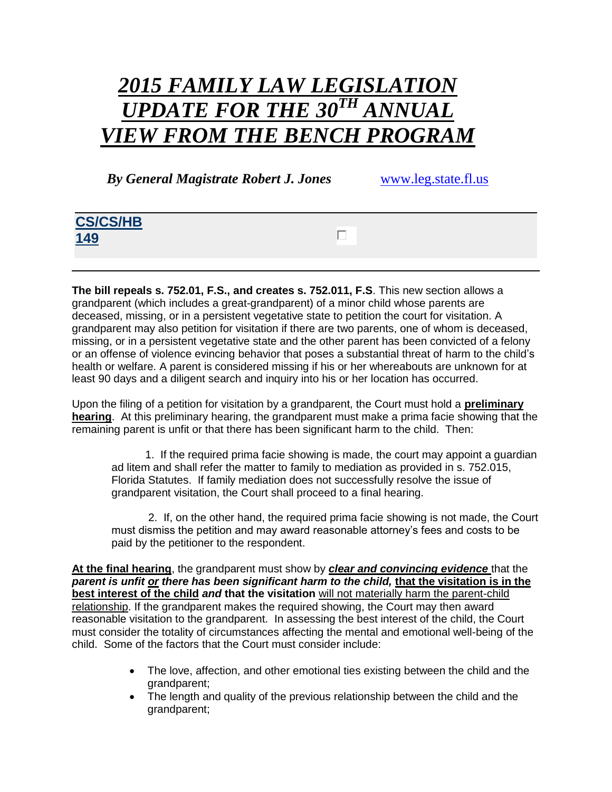## *2015 FAMILY LAW LEGISLATION*  $UPDATE\ FOR\ THE\ 30^{TH}\ ANNI$ *VIEW FROM THE BENCH PROGRAM*

 *By General Magistrate Robert J. Jones* [www.leg.state.fl.us](http://www.leg.state.fl.us/)

## **CS/CS/HB**  П. **149**

**The bill repeals s. 752.01, F.S., and creates s. 752.011, F.S**. This new section allows a grandparent (which includes a great-grandparent) of a minor child whose parents are deceased, missing, or in a persistent vegetative state to petition the court for visitation. A grandparent may also petition for visitation if there are two parents, one of whom is deceased, missing, or in a persistent vegetative state and the other parent has been convicted of a felony or an offense of violence evincing behavior that poses a substantial threat of harm to the child's health or welfare. A parent is considered missing if his or her whereabouts are unknown for at least 90 days and a diligent search and inquiry into his or her location has occurred.

Upon the filing of a petition for visitation by a grandparent, the Court must hold a **preliminary hearing**. At this preliminary hearing, the grandparent must make a prima facie showing that the remaining parent is unfit or that there has been significant harm to the child. Then:

 1. If the required prima facie showing is made, the court may appoint a guardian ad litem and shall refer the matter to family to mediation as provided in s. 752.015, Florida Statutes. If family mediation does not successfully resolve the issue of grandparent visitation, the Court shall proceed to a final hearing.

 2. If, on the other hand, the required prima facie showing is not made, the Court must dismiss the petition and may award reasonable attorney's fees and costs to be paid by the petitioner to the respondent.

**At the final hearing**, the grandparent must show by *clear and convincing evidence* that the *parent is unfit or there has been significant harm to the child,* **that the visitation is in the best interest of the child** *and* **that the visitation** will not materially harm the parent-child relationship. If the grandparent makes the required showing, the Court may then award reasonable visitation to the grandparent. In assessing the best interest of the child, the Court must consider the totality of circumstances affecting the mental and emotional well-being of the child. Some of the factors that the Court must consider include:

- The love, affection, and other emotional ties existing between the child and the grandparent;
- The length and quality of the previous relationship between the child and the grandparent;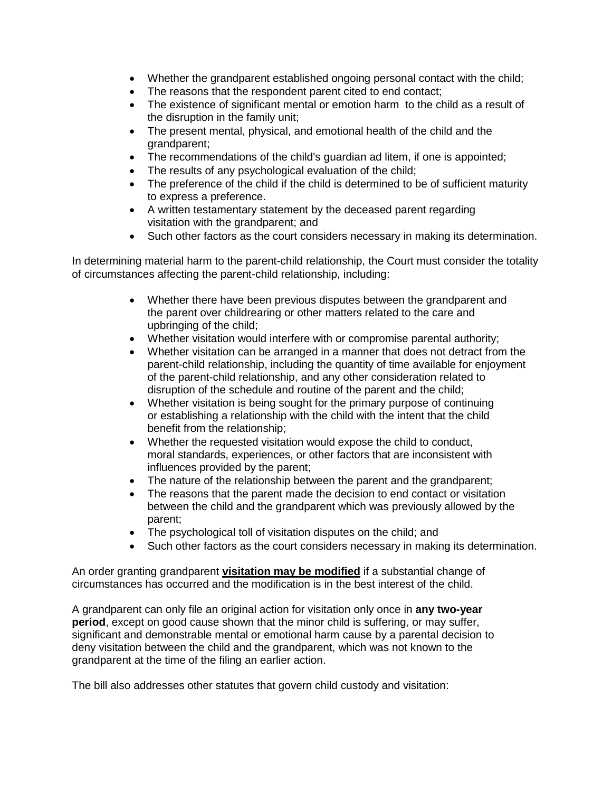- Whether the grandparent established ongoing personal contact with the child;
- The reasons that the respondent parent cited to end contact;
- The existence of significant mental or emotion harm to the child as a result of the disruption in the family unit;
- The present mental, physical, and emotional health of the child and the grandparent;
- The recommendations of the child's guardian ad litem, if one is appointed;
- The results of any psychological evaluation of the child;
- The preference of the child if the child is determined to be of sufficient maturity to express a preference.
- A written testamentary statement by the deceased parent regarding visitation with the grandparent; and
- Such other factors as the court considers necessary in making its determination.

In determining material harm to the parent-child relationship, the Court must consider the totality of circumstances affecting the parent-child relationship, including:

- Whether there have been previous disputes between the grandparent and the parent over childrearing or other matters related to the care and upbringing of the child;
- Whether visitation would interfere with or compromise parental authority;
- Whether visitation can be arranged in a manner that does not detract from the parent-child relationship, including the quantity of time available for enjoyment of the parent-child relationship, and any other consideration related to disruption of the schedule and routine of the parent and the child;
- Whether visitation is being sought for the primary purpose of continuing or establishing a relationship with the child with the intent that the child benefit from the relationship;
- Whether the requested visitation would expose the child to conduct, moral standards, experiences, or other factors that are inconsistent with influences provided by the parent;
- The nature of the relationship between the parent and the grandparent;
- The reasons that the parent made the decision to end contact or visitation between the child and the grandparent which was previously allowed by the parent;
- The psychological toll of visitation disputes on the child; and
- Such other factors as the court considers necessary in making its determination.

An order granting grandparent **visitation may be modified** if a substantial change of circumstances has occurred and the modification is in the best interest of the child.

A grandparent can only file an original action for visitation only once in **any two-year period**, except on good cause shown that the minor child is suffering, or may suffer, significant and demonstrable mental or emotional harm cause by a parental decision to deny visitation between the child and the grandparent, which was not known to the grandparent at the time of the filing an earlier action.

The bill also addresses other statutes that govern child custody and visitation: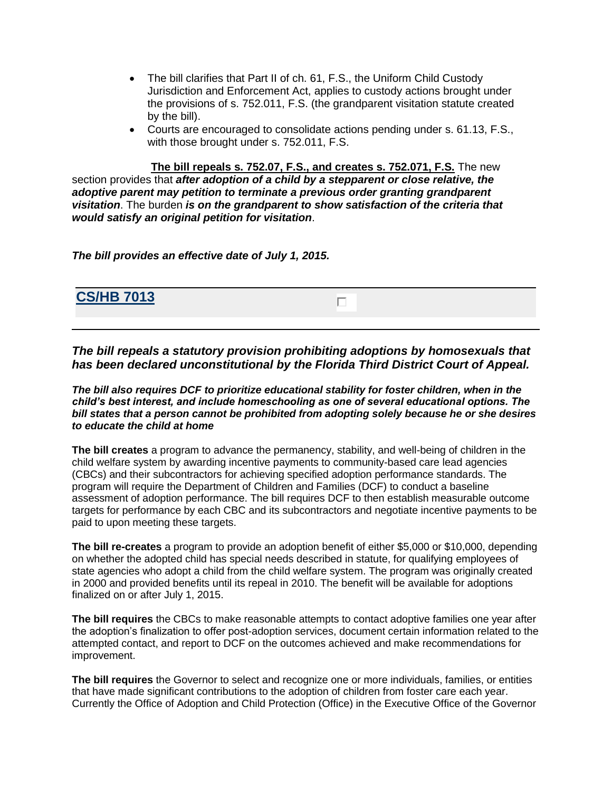- The bill clarifies that Part II of ch. 61, F.S., the Uniform Child Custody Jurisdiction and Enforcement Act, applies to custody actions brought under the provisions of s. 752.011, F.S. (the grandparent visitation statute created by the bill).
- Courts are encouraged to consolidate actions pending under s. 61.13, F.S., with those brought under s. 752.011, F.S.

**The bill repeals s. 752.07, F.S., and creates s. 752.071, F.S.** The new section provides that *after adoption of a child by a stepparent or close relative, the adoptive parent may petition to terminate a previous order granting grandparent visitation*. The burden *is on the grandparent to show satisfaction of the criteria that would satisfy an original petition for visitation*.

*The bill provides an effective date of July 1, 2015.*

**CS/HB 7013**

*The bill repeals a statutory provision prohibiting adoptions by homosexuals that has been declared unconstitutional by the Florida Third District Court of Appeal.*

*The bill also requires DCF to prioritize educational stability for foster children, when in the child's best interest, and include homeschooling as one of several educational options. The bill states that a person cannot be prohibited from adopting solely because he or she desires to educate the child at home*

**The bill creates** a program to advance the permanency, stability, and well-being of children in the child welfare system by awarding incentive payments to community-based care lead agencies (CBCs) and their subcontractors for achieving specified adoption performance standards. The program will require the Department of Children and Families (DCF) to conduct a baseline assessment of adoption performance. The bill requires DCF to then establish measurable outcome targets for performance by each CBC and its subcontractors and negotiate incentive payments to be paid to upon meeting these targets.

**The bill re-creates** a program to provide an adoption benefit of either \$5,000 or \$10,000, depending on whether the adopted child has special needs described in statute, for qualifying employees of state agencies who adopt a child from the child welfare system. The program was originally created in 2000 and provided benefits until its repeal in 2010. The benefit will be available for adoptions finalized on or after July 1, 2015.

**The bill requires** the CBCs to make reasonable attempts to contact adoptive families one year after the adoption's finalization to offer post-adoption services, document certain information related to the attempted contact, and report to DCF on the outcomes achieved and make recommendations for improvement.

**The bill requires** the Governor to select and recognize one or more individuals, families, or entities that have made significant contributions to the adoption of children from foster care each year. Currently the Office of Adoption and Child Protection (Office) in the Executive Office of the Governor